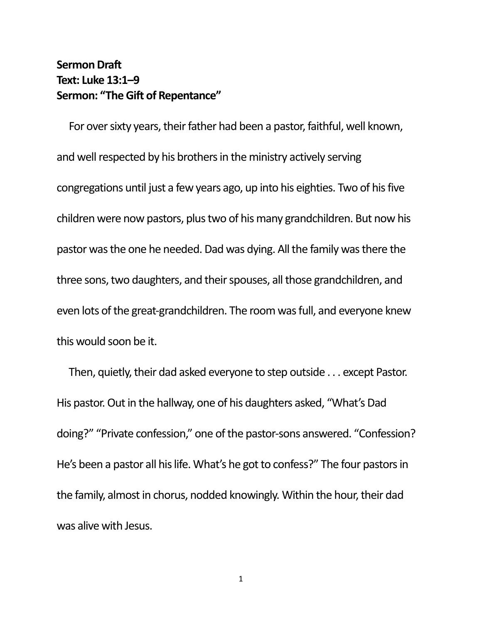## **Sermon Draft Text: Luke 13:1–9 Sermon: "The Gift of Repentance"**

 For over sixty years, their father had been a pastor, faithful, well known, and well respected by his brothers in the ministry actively serving congregations until just a few years ago, up into his eighties. Two of his five children were now pastors, plus two of his many grandchildren. But now his pastor was the one he needed. Dad was dying. All the family was there the three sons, two daughters, and their spouses, all those grandchildren, and even lots of the great-grandchildren. The room was full, and everyone knew this would soon be it.

 Then, quietly, their dad asked everyone to step outside . . . except Pastor. His pastor. Out in the hallway, one of his daughters asked, "What's Dad doing?" "Private confession," one of the pastor-sons answered. "Confession? He's been a pastor all his life. What's he got to confess?" The four pastors in the family, almost in chorus, nodded knowingly. Within the hour, their dad was alive with Jesus.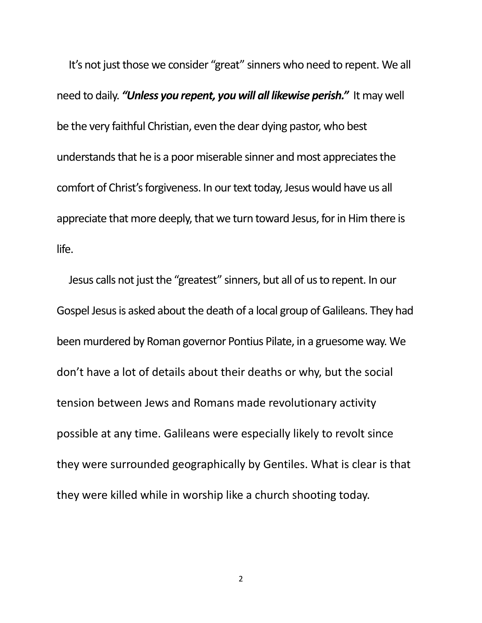It's not just those we consider "great" sinners who need to repent. We all need to daily. *"Unless you repent, you will all likewise perish."* It may well be the very faithful Christian, even the dear dying pastor, who best understands that he is a poor miserable sinner and most appreciates the comfort of Christ's forgiveness. In our text today, Jesus would have us all appreciate that more deeply, that we turn toward Jesus, for in Him there is life.

 Jesus calls not just the "greatest" sinners, but all of us to repent. In our Gospel Jesus is asked about the death of a local group of Galileans. They had been murdered by Roman governor Pontius Pilate, in a gruesome way. We don't have a lot of details about their deaths or why, but the social tension between Jews and Romans made revolutionary activity possible at any time. Galileans were especially likely to revolt since they were surrounded geographically by Gentiles. What is clear is that they were killed while in worship like a church shooting today.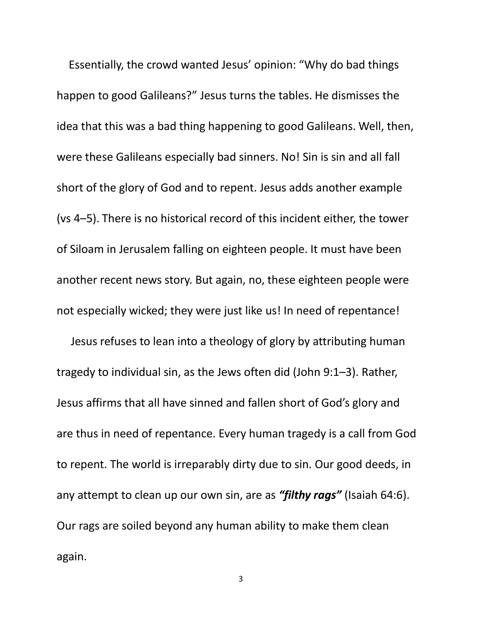Essentially, the crowd wanted Jesus' opinion: "Why do bad things happen to good Galileans?" Jesus turns the tables. He dismisses the idea that this was a bad thing happening to good Galileans. Well, then, were these Galileans especially bad sinners. No! Sin is sin and all fall short of the glory of God and to repent. Jesus adds another example (vs 4–5). There is no historical record of this incident either, the tower of Siloam in Jerusalem falling on eighteen people. It must have been another recent news story. But again, no, these eighteen people were not especially wicked; they were just like us! In need of repentance!

 Jesus refuses to lean into a theology of glory by attributing human tragedy to individual sin, as the Jews often did (John 9:1–3). Rather, Jesus affirms that all have sinned and fallen short of God's glory and are thus in need of repentance. Every human tragedy is a call from God to repent. The world is irreparably dirty due to sin. Our good deeds, in any attempt to clean up our own sin, are as *"filthy rags"* (Isaiah 64:6). Our rags are soiled beyond any human ability to make them clean again.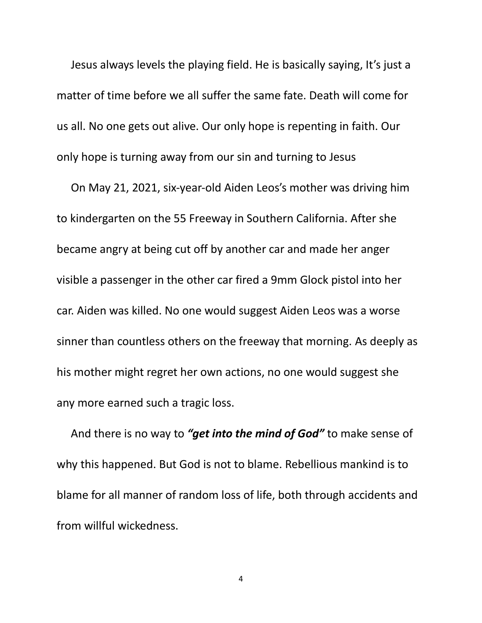Jesus always levels the playing field. He is basically saying, It's just a matter of time before we all suffer the same fate. Death will come for us all. No one gets out alive. Our only hope is repenting in faith. Our only hope is turning away from our sin and turning to Jesus

 On May 21, 2021, six-year-old Aiden Leos's mother was driving him to kindergarten on the 55 Freeway in Southern California. After she became angry at being cut off by another car and made her anger visible a passenger in the other car fired a 9mm Glock pistol into her car. Aiden was killed. No one would suggest Aiden Leos was a worse sinner than countless others on the freeway that morning. As deeply as his mother might regret her own actions, no one would suggest she any more earned such a tragic loss.

 And there is no way to *"get into the mind of God"* to make sense of why this happened. But God is not to blame. Rebellious mankind is to blame for all manner of random loss of life, both through accidents and from willful wickedness.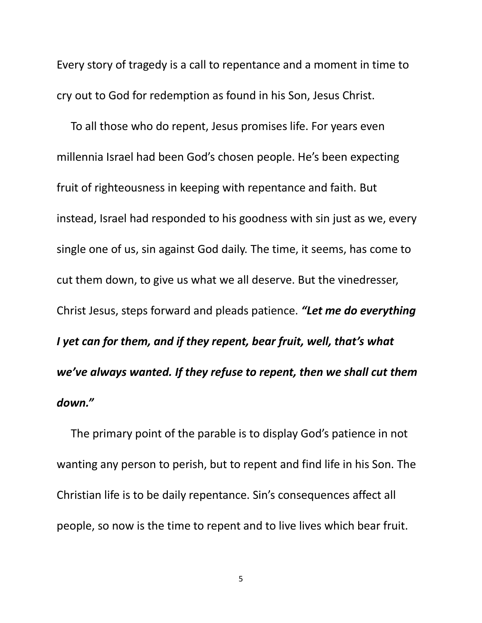Every story of tragedy is a call to repentance and a moment in time to cry out to God for redemption as found in his Son, Jesus Christ.

 To all those who do repent, Jesus promises life. For years even millennia Israel had been God's chosen people. He's been expecting fruit of righteousness in keeping with repentance and faith. But instead, Israel had responded to his goodness with sin just as we, every single one of us, sin against God daily. The time, it seems, has come to cut them down, to give us what we all deserve. But the vinedresser, Christ Jesus, steps forward and pleads patience. *"Let me do everything I yet can for them, and if they repent, bear fruit, well, that's what we've always wanted. If they refuse to repent, then we shall cut them down."*

 The primary point of the parable is to display God's patience in not wanting any person to perish, but to repent and find life in his Son. The Christian life is to be daily repentance. Sin's consequences affect all people, so now is the time to repent and to live lives which bear fruit.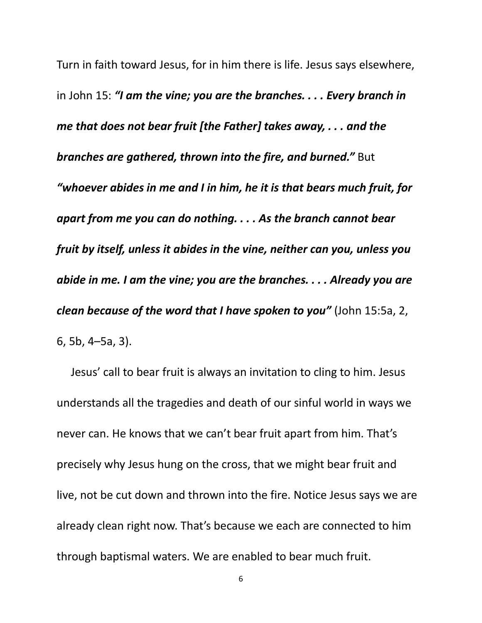Turn in faith toward Jesus, for in him there is life. Jesus says elsewhere, in John 15: *"I am the vine; you are the branches. . . . Every branch in me that does not bear fruit [the Father] takes away, . . . and the branches are gathered, thrown into the fire, and burned."* But *"whoever abides in me and I in him, he it is that bears much fruit, for apart from me you can do nothing. . . . As the branch cannot bear fruit by itself, unless it abides in the vine, neither can you, unless you abide in me. I am the vine; you are the branches. . . . Already you are clean because of the word that I have spoken to you"* (John 15:5a, 2, 6, 5b, 4–5a, 3).

 Jesus' call to bear fruit is always an invitation to cling to him. Jesus understands all the tragedies and death of our sinful world in ways we never can. He knows that we can't bear fruit apart from him. That's precisely why Jesus hung on the cross, that we might bear fruit and live, not be cut down and thrown into the fire. Notice Jesus says we are already clean right now. That's because we each are connected to him through baptismal waters. We are enabled to bear much fruit.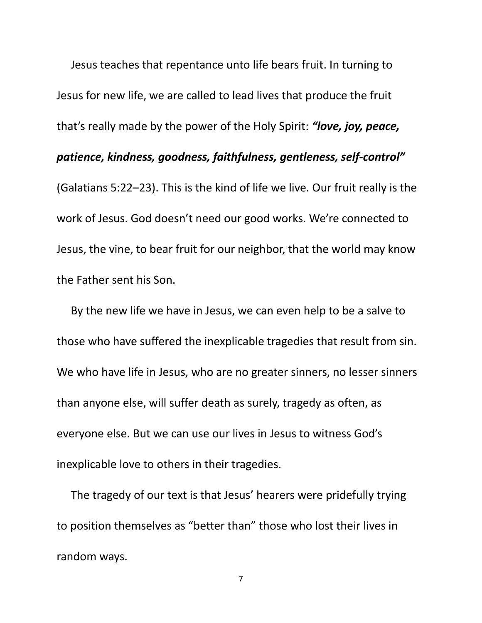Jesus teaches that repentance unto life bears fruit. In turning to Jesus for new life, we are called to lead lives that produce the fruit that's really made by the power of the Holy Spirit: *"love, joy, peace,* 

## *patience, kindness, goodness, faithfulness, gentleness, self-control"*

(Galatians 5:22–23). This is the kind of life we live. Our fruit really is the work of Jesus. God doesn't need our good works. We're connected to Jesus, the vine, to bear fruit for our neighbor, that the world may know the Father sent his Son.

 By the new life we have in Jesus, we can even help to be a salve to those who have suffered the inexplicable tragedies that result from sin. We who have life in Jesus, who are no greater sinners, no lesser sinners than anyone else, will suffer death as surely, tragedy as often, as everyone else. But we can use our lives in Jesus to witness God's inexplicable love to others in their tragedies.

 The tragedy of our text is that Jesus' hearers were pridefully trying to position themselves as "better than" those who lost their lives in random ways.